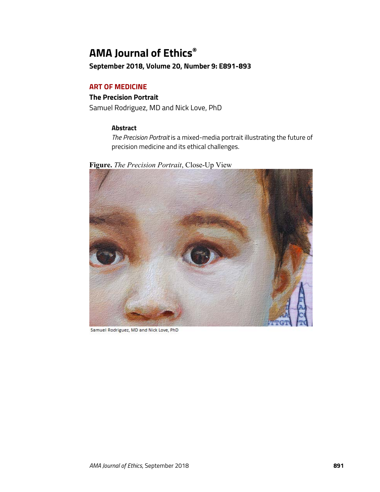# **AMA Journal of Ethics®**

**September 2018, Volume 20, Number 9: E891-893**

## **ART OF MEDICINE**

## **The Precision Portrait**

Samuel Rodriguez, MD and Nick Love, PhD

## **Abstract**

*The Precision Portrait* is a mixed-media portrait illustrating the future of precision medicine and its ethical challenges.

**Figure.** *The Precision Portrait*, Close-Up View



Samuel Rodriguez, MD and Nick Love, PhD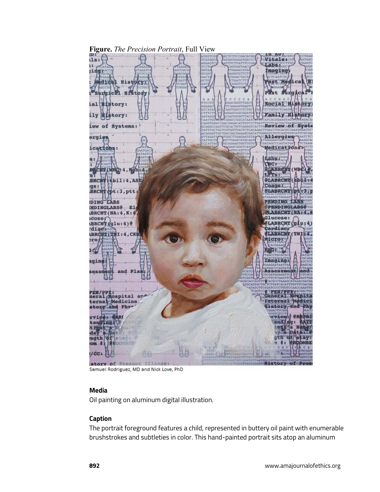

**Figure.** *The Precision Portrait*, Full View

Samuel Rodriguez, MD and Nick Love, PhD

#### **Media**

Oil painting on aluminum digital illustration.

## **Caption**

The portrait foreground features a child, represented in buttery oil paint with enumerable brushstrokes and subtleties in color. This hand-painted portrait sits atop an aluminum